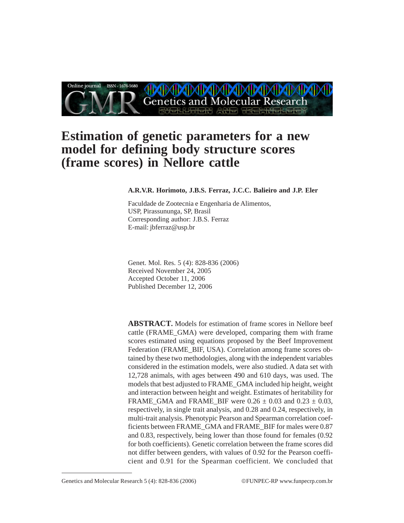

# **Estimation of genetic parameters for a new model for defining body structure scores (frame scores) in Nellore cattle**

#### **A.R.V.R. Horimoto, J.B.S. Ferraz, J.C.C. Balieiro and J.P. Eler**

Faculdade de Zootecnia e Engenharia de Alimentos, USP, Pirassununga, SP, Brasil Corresponding author: J.B.S. Ferraz E-mail: jbferraz@usp.br

Genet. Mol. Res. 5 (4): 828-836 (2006) Received November 24, 2005 Accepted October 11, 2006 Published December 12, 2006

**ABSTRACT.** Models for estimation of frame scores in Nellore beef cattle (FRAME\_GMA) were developed, comparing them with frame scores estimated using equations proposed by the Beef Improvement Federation (FRAME\_BIF, USA). Correlation among frame scores obtained by these two methodologies, along with the independent variables considered in the estimation models, were also studied. A data set with 12,728 animals, with ages between 490 and 610 days, was used. The models that best adjusted to FRAME\_GMA included hip height, weight and interaction between height and weight. Estimates of heritability for FRAME\_GMA and FRAME\_BIF were  $0.26 \pm 0.03$  and  $0.23 \pm 0.03$ , respectively, in single trait analysis, and 0.28 and 0.24, respectively, in multi-trait analysis. Phenotypic Pearson and Spearman correlation coefficients between FRAME\_GMA and FRAME\_BIF for males were 0.87 and 0.83, respectively, being lower than those found for females (0.92 for both coefficients). Genetic correlation between the frame scores did not differ between genders, with values of 0.92 for the Pearson coefficient and 0.91 for the Spearman coefficient. We concluded that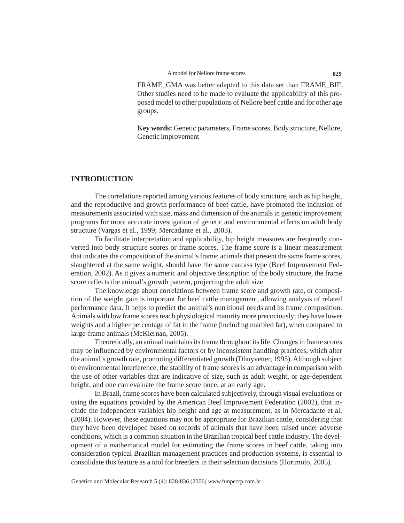FRAME\_GMA was better adapted to this data set than FRAME\_BIF. Other studies need to be made to evaluate the applicability of this proposed model to other populations of Nellore beef cattle and for other age groups.

**Key words:** Genetic parameters, Frame scores, Body structure, Nellore, Genetic improvement

# **INTRODUCTION**

The correlations reported among various features of body structure, such as hip height, and the reproductive and growth performance of beef cattle, have promoted the inclusion of measurements associated with size, mass and dimension of the animals in genetic improvement programs for more accurate investigation of genetic and environmental effects on adult body structure (Vargas et al., 1999; Mercadante et al., 2003).

To facilitate interpretation and applicability, hip height measures are frequently converted into body structure scores or frame scores. The frame score is a linear measurement that indicates the composition of the animal's frame; animals that present the same frame scores, slaughtered at the same weight, should have the same carcass type (Beef Improvement Federation, 2002). As it gives a numeric and objective description of the body structure, the frame score reflects the animal's growth pattern, projecting the adult size.

The knowledge about correlations between frame score and growth rate, or composition of the weight gain is important for beef cattle management, allowing analysis of related performance data. It helps to predict the animal's nutritional needs and its frame composition. Animals with low frame scores reach physiological maturity more precociously; they have lower weights and a higher percentage of fat in the frame (including marbled fat), when compared to large-frame animals (McKiernan, 2005).

Theoretically, an animal maintains its frame throughout its life. Changes in frame scores may be influenced by environmental factors or by inconsistent handling practices, which alter the animal's growth rate, promoting differentiated growth (Dhuyvetter, 1995). Although subject to environmental interference, the stability of frame scores is an advantage in comparison with the use of other variables that are indicative of size, such as adult weight, or age-dependent height, and one can evaluate the frame score once, at an early age.

In Brazil, frame scores have been calculated subjectively, through visual evaluations or using the equations provided by the American Beef Improvement Federation (2002), that include the independent variables hip height and age at measurement, as in Mercadante et al. (2004). However, these equations may not be appropriate for Brazilian cattle, considering that they have been developed based on records of animals that have been raised under adverse conditions, which is a common situation in the Brazilian tropical beef cattle industry. The development of a mathematical model for estimating the frame scores in beef cattle, taking into consideration typical Brazilian management practices and production systems, is essential to consolidate this feature as a tool for breeders in their selection decisions (Horimoto, 2005).

Genetics and Molecular Research 5 (4): 828-836 (2006) www.funpecrp.com.br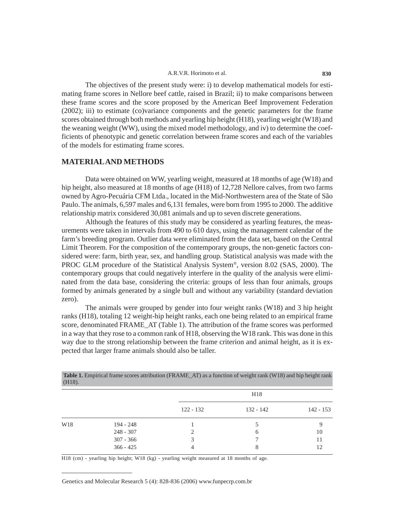The objectives of the present study were: i) to develop mathematical models for estimating frame scores in Nellore beef cattle, raised in Brazil; ii) to make comparisons between these frame scores and the score proposed by the American Beef Improvement Federation (2002); iii) to estimate (co)variance components and the genetic parameters for the frame scores obtained through both methods and yearling hip height (H18), yearling weight (W18) and the weaning weight (WW), using the mixed model methodology, and iv) to determine the coefficients of phenotypic and genetic correlation between frame scores and each of the variables of the models for estimating frame scores.

# **MATERIAL AND METHODS**

Data were obtained on WW, yearling weight, measured at 18 months of age (W18) and hip height, also measured at 18 months of age (H18) of 12,728 Nellore calves, from two farms owned by Agro-Pecuária CFM Ltda., located in the Mid-Northwestern area of the State of São Paulo. The animals, 6,597 males and 6,131 females, were born from 1995 to 2000. The additive relationship matrix considered 30,081 animals and up to seven discrete generations.

Although the features of this study may be considered as yearling features, the measurements were taken in intervals from 490 to 610 days, using the management calendar of the farm's breeding program. Outlier data were eliminated from the data set, based on the Central Limit Theorem. For the composition of the contemporary groups, the non-genetic factors considered were: farm, birth year, sex, and handling group. Statistical analysis was made with the PROC GLM procedure of the Statistical Analysis System®, version 8.02 (SAS, 2000). The contemporary groups that could negatively interfere in the quality of the analysis were eliminated from the data base, considering the criteria: groups of less than four animals, groups formed by animals generated by a single bull and without any variability (standard deviation zero).

The animals were grouped by gender into four weight ranks (W18) and 3 hip height ranks (H18), totaling 12 weight-hip height ranks, each one being related to an empirical frame score, denominated FRAME\_AT (Table 1). The attribution of the frame scores was performed in a way that they rose to a common rank of H18, observing the W18 rank. This was done in this way due to the strong relationship between the frame criterion and animal height, as it is expected that larger frame animals should also be taller.

| $(H18)$ .       | Table 1. Empirical frame scores attribution (FRAME_AT) as a function of weight rank (W18) and hip height rank |             |              |           |
|-----------------|---------------------------------------------------------------------------------------------------------------|-------------|--------------|-----------|
|                 |                                                                                                               |             | H18          |           |
|                 |                                                                                                               | $122 - 132$ | 132 - 142    | 142 - 153 |
| W <sub>18</sub> | 194 - 248                                                                                                     |             |              |           |
|                 | $248 - 307$                                                                                                   |             | <sub>6</sub> | 10        |
|                 | $307 - 366$                                                                                                   |             |              |           |
|                 | $366 - 425$                                                                                                   | 4           |              | 12        |

H18 (cm) - yearling hip height; W18 (kg) - yearling weight measured at 18 months of age.

Genetics and Molecular Research 5 (4): 828-836 (2006) www.funpecrp.com.br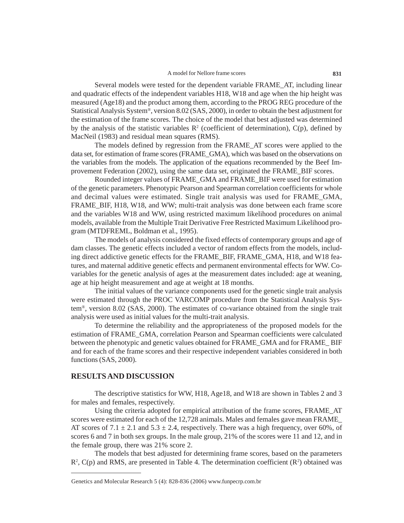Several models were tested for the dependent variable FRAME\_AT, including linear and quadratic effects of the independent variables H18, W18 and age when the hip height was measured (Age18) and the product among them, according to the PROG REG procedure of the Statistical Analysis System®, version 8.02 (SAS, 2000), in order to obtain the best adjustment for the estimation of the frame scores. The choice of the model that best adjusted was determined by the analysis of the statistic variables  $\mathbb{R}^2$  (coefficient of determination), C(p), defined by MacNeil (1983) and residual mean squares (RMS).

The models defined by regression from the FRAME\_AT scores were applied to the data set, for estimation of frame scores (FRAME\_GMA), which was based on the observations on the variables from the models. The application of the equations recommended by the Beef Improvement Federation (2002), using the same data set, originated the FRAME\_BIF scores.

Rounded integer values of FRAME\_GMA and FRAME\_BIF were used for estimation of the genetic parameters. Phenotypic Pearson and Spearman correlation coefficients for whole and decimal values were estimated. Single trait analysis was used for FRAME\_GMA, FRAME\_BIF, H18, W18, and WW; multi-trait analysis was done between each frame score and the variables W18 and WW, using restricted maximum likelihood procedures on animal models, available from the Multiple Trait Derivative Free Restricted Maximum Likelihood program (MTDFREML, Boldman et al., 1995).

The models of analysis considered the fixed effects of contemporary groups and age of dam classes. The genetic effects included a vector of random effects from the models, including direct addictive genetic effects for the FRAME\_BIF, FRAME\_GMA, H18, and W18 features, and maternal additive genetic effects and permanent environmental effects for WW. Covariables for the genetic analysis of ages at the measurement dates included: age at weaning, age at hip height measurement and age at weight at 18 months.

The initial values of the variance components used for the genetic single trait analysis were estimated through the PROC VARCOMP procedure from the Statistical Analysis System®, version 8.02 (SAS, 2000). The estimates of co-variance obtained from the single trait analysis were used as initial values for the multi-trait analysis.

To determine the reliability and the appropriateness of the proposed models for the estimation of FRAME\_GMA, correlation Pearson and Spearman coefficients were calculated between the phenotypic and genetic values obtained for FRAME\_GMA and for FRAME\_ BIF and for each of the frame scores and their respective independent variables considered in both functions (SAS, 2000).

#### **RESULTS AND DISCUSSION**

The descriptive statistics for WW, H18, Age18, and W18 are shown in Tables 2 and 3 for males and females, respectively.

Using the criteria adopted for empirical attribution of the frame scores, FRAME\_AT scores were estimated for each of the 12,728 animals. Males and females gave mean FRAME\_ AT scores of  $7.1 \pm 2.1$  and  $5.3 \pm 2.4$ , respectively. There was a high frequency, over 60%, of scores 6 and 7 in both sex groups. In the male group, 21% of the scores were 11 and 12, and in the female group, there was 21% score 2.

The models that best adjusted for determining frame scores, based on the parameters  $R^2$ , C(p) and RMS, are presented in Table 4. The determination coefficient ( $R^2$ ) obtained was

Genetics and Molecular Research 5 (4): 828-836 (2006) www.funpecrp.com.br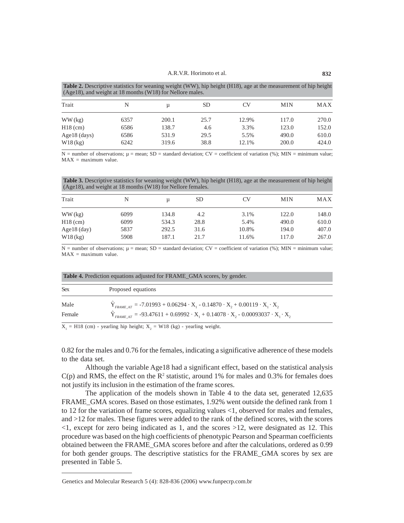| <b>Table 2.</b> Descriptive statistics for weaning weight (WW), hip height (H18), age at the measurement of hip height |  |
|------------------------------------------------------------------------------------------------------------------------|--|
| $(Age18)$ , and weight at 18 months (W18) for Nellore males.                                                           |  |

| Trait           | N    | u     | SD   | CV    | <b>MIN</b> | <b>MAX</b> |
|-----------------|------|-------|------|-------|------------|------------|
| $WW$ (kg)       | 6357 | 200.1 | 25.7 | 12.9% | 117.0      | 270.0      |
| $H18$ (cm)      | 6586 | 138.7 | 4.6  | 3.3%  | 123.0      | 152.0      |
| Age $18$ (days) | 6586 | 531.9 | 29.5 | 5.5%  | 490.0      | 610.0      |
| $W18$ (kg)      | 6242 | 319.6 | 38.8 | 12.1% | 200.0      | 424.0      |

N = number of observations;  $\mu$  = mean; SD = standard deviation; CV = coefficient of variation (%); MIN = minimum value;  $MAX = maximum value.$ 

**Table 3.** Descriptive statistics for weaning weight (WW), hip height (H18), age at the measurement of hip height (Age18), and weight at 18 months (W18) for Nellore females.

| Trait                        | N            | u              | <b>SD</b>    | CV             | <b>MIN</b>     | MAX            |
|------------------------------|--------------|----------------|--------------|----------------|----------------|----------------|
| WW (kg)                      | 6099         | 134.8          | 4.2          | 3.1%           | 122.0          | 148.0          |
| $H18$ (cm)                   | 6099         | 534.3          | 28.8         | 5.4%           | 490.0          | 610.0          |
| Age $18$ (day)<br>$W18$ (kg) | 5837<br>5908 | 292.5<br>187.1 | 31.6<br>21.7 | 10.8%<br>11.6% | 194.0<br>117.0 | 407.0<br>267.0 |

N = number of observations;  $\mu$  = mean; SD = standard deviation; CV = coefficient of variation (%); MIN = minimum value;  $MAX = maximum value.$ 

| <b>Table 4.</b> Prediction equations adjusted for FRAME_GMA scores, by gender. |                                                                                                                                                                      |  |  |  |  |
|--------------------------------------------------------------------------------|----------------------------------------------------------------------------------------------------------------------------------------------------------------------|--|--|--|--|
| <b>Sex</b>                                                                     | Proposed equations                                                                                                                                                   |  |  |  |  |
| Male                                                                           | $\hat{Y}_{FRAME AT}$ = -7.01993 + 0.06294 $\cdot$ X <sub>1</sub> - 0.14870 $\cdot$ X <sub>2</sub> + 0.00119 $\cdot$ X <sub>1</sub> $\cdot$ X <sub>2</sub>            |  |  |  |  |
| Female                                                                         | $\hat{Y}_{\text{FRAME AT}}$ = -93.47611 + 0.69992 $\cdot$ X <sub>1</sub> + 0.14078 $\cdot$ X <sub>2</sub> - 0.00093037 $\cdot$ X <sub>1</sub> $\cdot$ X <sub>2</sub> |  |  |  |  |

 $X_1 = H18$  (cm) - yearling hip height;  $X_2 = W18$  (kg) - yearling weight.

0.82 for the males and 0.76 for the females, indicating a significative adherence of these models to the data set.

Although the variable Age18 had a significant effect, based on the statistical analysis  $C(p)$  and RMS, the effect on the R<sup>2</sup> statistic, around 1% for males and 0.3% for females does not justify its inclusion in the estimation of the frame scores.

The application of the models shown in Table 4 to the data set, generated 12,635 FRAME\_GMA scores. Based on those estimates, 1.92% went outside the defined rank from 1 to 12 for the variation of frame scores, equalizing values <1, observed for males and females, and >12 for males. These figures were added to the rank of the defined scores, with the scores <1, except for zero being indicated as 1, and the scores >12, were designated as 12. This procedure was based on the high coefficients of phenotypic Pearson and Spearman coefficients obtained between the FRAME\_GMA scores before and after the calculations, ordered as 0.99 for both gender groups. The descriptive statistics for the FRAME\_GMA scores by sex are presented in Table 5.

Genetics and Molecular Research 5 (4): 828-836 (2006) www.funpecrp.com.br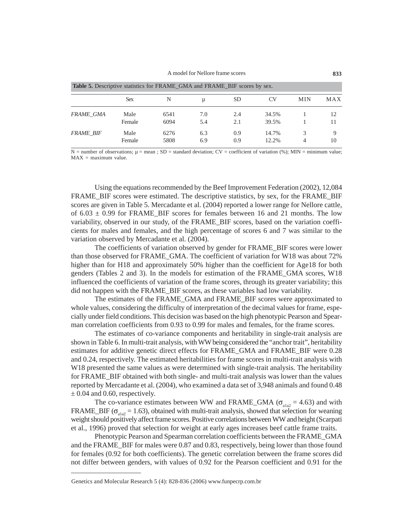#### A model for Nellore frame scores **833**

| <b>Table 5.</b> Descriptive statistics for FRAME GMA and FRAME DIF scores by sex. |                |              |            |            |                |            |          |  |  |
|-----------------------------------------------------------------------------------|----------------|--------------|------------|------------|----------------|------------|----------|--|--|
|                                                                                   | <b>Sex</b>     | N            | u          | <b>SD</b>  | CV             | <b>MIN</b> | MAX      |  |  |
| <b>FRAME GMA</b>                                                                  | Male<br>Female | 6541<br>6094 | 7.0<br>5.4 | 2.4<br>2.1 | 34.5%<br>39.5% |            | 12<br>11 |  |  |
| <b>FRAME BIF</b>                                                                  | Male<br>Female | 6276<br>5808 | 6.3<br>6.9 | 0.9<br>0.9 | 14.7%<br>12.2% | 3<br>4     | 10       |  |  |

**Table 5.** Descriptive statistics for FRAME\_GMA and FRAME\_BIF.

 $N =$  number of observations;  $\mu =$  mean;  $SD =$  standard deviation;  $CV =$  coefficient of variation (%); MIN = minimum value;  $MAX = maximum value$ .

Using the equations recommended by the Beef Improvement Federation (2002), 12,084 FRAME\_BIF scores were estimated. The descriptive statistics, by sex, for the FRAME\_BIF scores are given in Table 5. Mercadante et al. (2004) reported a lower range for Nellore cattle, of  $6.03 \pm 0.99$  for FRAME\_BIF scores for females between 16 and 21 months. The low variability, observed in our study, of the FRAME\_BIF scores, based on the variation coefficients for males and females, and the high percentage of scores 6 and 7 was similar to the variation observed by Mercadante et al. (2004).

The coefficients of variation observed by gender for FRAME\_BIF scores were lower than those observed for FRAME\_GMA. The coefficient of variation for W18 was about 72% higher than for H18 and approximately 50% higher than the coefficient for Age18 for both genders (Tables 2 and 3). In the models for estimation of the FRAME\_GMA scores, W18 influenced the coefficients of variation of the frame scores, through its greater variability; this did not happen with the FRAME\_BIF scores, as these variables had low variability.

The estimates of the FRAME\_GMA and FRAME\_BIF scores were approximated to whole values, considering the difficulty of interpretation of the decimal values for frame, especially under field conditions. This decision was based on the high phenotypic Pearson and Spearman correlation coefficients from 0.93 to 0.99 for males and females, for the frame scores.

The estimates of co-variance components and heritability in single-trait analysis are shown in Table 6. In multi-trait analysis, with WW being considered the "anchor trait", heritability estimates for additive genetic direct effects for FRAME\_GMA and FRAME\_BIF were 0.28 and 0.24, respectively. The estimated heritabilities for frame scores in multi-trait analysis with W<sub>18</sub> presented the same values as were determined with single-trait analysis. The heritability for FRAME\_BIF obtained with both single- and multi-trait analysis was lower than the values reported by Mercadante et al. (2004), who examined a data set of 3,948 animals and found 0.48  $\pm$  0.04 and 0.60, respectively.

The co-variance estimates between WW and FRAME\_GMA ( $\sigma_{\text{at}2} = 4.63$ ) and with FRAME\_BIF ( $\sigma_{\text{abs}} = 1.63$ ), obtained with multi-trait analysis, showed that selection for weaning weight should positively affect frame scores. Positive correlations between WW and height (Scarpati et al., 1996) proved that selection for weight at early ages increases beef cattle frame traits.

Phenotypic Pearson and Spearman correlation coefficients between the FRAME\_GMA and the FRAME\_BIF for males were 0.87 and 0.83, respectively, being lower than those found for females (0.92 for both coefficients). The genetic correlation between the frame scores did not differ between genders, with values of 0.92 for the Pearson coefficient and 0.91 for the

Genetics and Molecular Research 5 (4): 828-836 (2006) www.funpecrp.com.br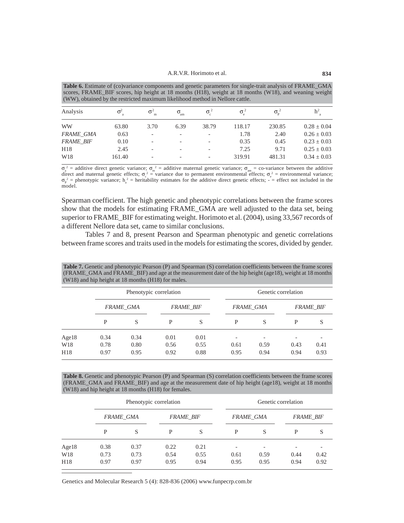**Table 6.** Estimate of (co)variance components and genetic parameters for single-trait analysis of FRAME\_GMA scores, FRAME\_BIF scores, hip height at 18 months (H18), weight at 18 months (W18), and weaning weight (WW), obtained by the restricted maximum likelihood method in Nellore cattle.

| Analysis         | $\sigma^2$ | $\sigma^2$               | $\sigma_{\rm am}$        | $\sigma$                 |        | $\sigma_{\rm p}^2$ | h <sup>2</sup>  |
|------------------|------------|--------------------------|--------------------------|--------------------------|--------|--------------------|-----------------|
| <b>WW</b>        | 63.80      | 3.70                     | 6.39                     | 38.79                    | 118.17 | 230.85             | $0.28 \pm 0.04$ |
| <b>FRAME GMA</b> | 0.63       | $\qquad \qquad -$        | $\overline{\phantom{0}}$ | $\overline{\phantom{0}}$ | 1.78   | 2.40               | $0.26 \pm 0.03$ |
| <b>FRAME BIF</b> | 0.10       | -                        | $\overline{\phantom{0}}$ | -                        | 0.35   | 0.45               | $0.23 + 0.03$   |
| H18              | 2.45       | $\overline{\phantom{0}}$ | $\overline{\phantom{0}}$ | $\overline{\phantom{0}}$ | 7.25   | 9.71               | $0.25 + 0.03$   |
| W <sub>18</sub>  | 161.40     | -                        | $\overline{\phantom{0}}$ | $\overline{\phantom{0}}$ | 319.91 | 481.31             | $0.34 \pm 0.03$ |
|                  |            |                          |                          |                          |        |                    |                 |

 $\sigma_{\rm a}^2$  = additive direct genetic variance;  $\sigma_{\rm m}^2$  = additive maternal genetic variance;  $\sigma_{\rm am}$  = co-variance between the additive direct and maternal genetic effects;  $\sigma_c^2$  = variance due to permanent environmental effects;  $\sigma_c^2$  = environmental variance;  $\sigma_{\rm p}^2$  = phenotypic variance;  $h_a^2$  = heritability estimates for the additive direct genetic effects; - = effect not included in the model.

Spearman coefficient. The high genetic and phenotypic correlations between the frame scores show that the models for estimating FRAME\_GMA are well adjusted to the data set, being superior to FRAME\_BIF for estimating weight. Horimoto et al. (2004), using 33,567 records of a different Nellore data set, came to similar conclusions.

Tables 7 and 8, present Pearson and Spearman phenotypic and genetic correlations between frame scores and traits used in the models for estimating the scores, divided by gender.

|                 |      | Phenotypic correlation |      |                  |                          | Genetic correlation |      |                  |  |  |
|-----------------|------|------------------------|------|------------------|--------------------------|---------------------|------|------------------|--|--|
|                 |      | <b>FRAME GMA</b>       |      | <b>FRAME BIF</b> |                          | <b>FRAME GMA</b>    |      | <b>FRAME BIF</b> |  |  |
|                 | P    | S                      | P    | S                | P                        | S                   | P    | S                |  |  |
| Age18           | 0.34 | 0.34                   | 0.01 | 0.01             | $\overline{\phantom{a}}$ |                     |      |                  |  |  |
| W <sub>18</sub> | 0.78 | 0.80                   | 0.56 | 0.55             | 0.61                     | 0.59                | 0.43 | 0.41             |  |  |
| H18             | 0.97 | 0.95                   | 0.92 | 0.88             | 0.95                     | 0.94                | 0.94 | 0.93             |  |  |

**Table 7.** Genetic and phenotypic Pearson (P) and Spearman (S) correlation coefficients between the frame scores (FRAME\_GMA and FRAME\_BIF) and age at the measurement date of the hip height (age18), weight at 18 months  $(W18)$  and him height at 18 months

**Table 8.** Genetic and phenotypic Pearson (P) and Spearman (S) correlation coefficients between the frame scores (FRAME\_GMA and FRAME\_BIF) and age at the measurement date of hip height (age18), weight at 18 months (W18) and hip height at 18 months (H18) for females.

|                 |      | Phenotypic correlation |      |                  |                          | Genetic correlation |      |                  |  |
|-----------------|------|------------------------|------|------------------|--------------------------|---------------------|------|------------------|--|
|                 |      | <b>FRAME GMA</b>       |      | <b>FRAME BIF</b> |                          | <b>FRAME GMA</b>    |      | <b>FRAME BIF</b> |  |
|                 | P    | S                      | P    | S                | P                        | S                   | P    | S                |  |
| Age18           | 0.38 | 0.37                   | 0.22 | 0.21             | $\overline{\phantom{a}}$ | -                   |      |                  |  |
| W <sub>18</sub> | 0.73 | 0.73                   | 0.54 | 0.55             | 0.61                     | 0.59                | 0.44 | 0.42             |  |
| H18             | 0.97 | 0.97                   | 0.95 | 0.94             | 0.95                     | 0.95                | 0.94 | 0.92             |  |

Genetics and Molecular Research 5 (4): 828-836 (2006) www.funpecrp.com.br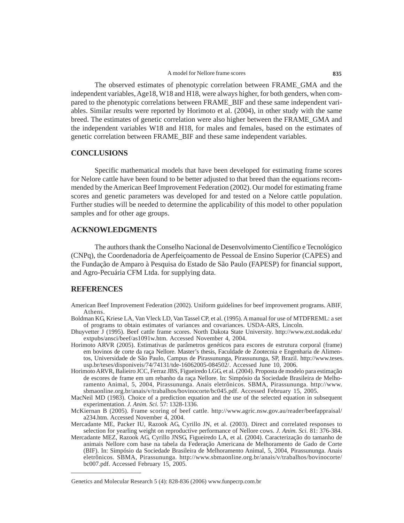The observed estimates of phenotypic correlation between FRAME\_GMA and the independent variables, Age18, W18 and H18, were always higher, for both genders, when compared to the phenotypic correlations between FRAME\_BIF and these same independent variables. Similar results were reported by Horimoto et al. (2004), in other study with the same breed. The estimates of genetic correlation were also higher between the FRAME\_GMA and the independent variables W18 and H18, for males and females, based on the estimates of genetic correlation between FRAME\_BIF and these same independent variables.

## **CONCLUSIONS**

Specific mathematical models that have been developed for estimating frame scores for Nelore cattle have been found to be better adjusted to that breed than the equations recommended by the American Beef Improvement Federation (2002). Our model for estimating frame scores and genetic parameters was developed for and tested on a Nelore cattle population. Further studies will be needed to determine the applicability of this model to other population samples and for other age groups.

# **ACKNOWLEDGMENTS**

The authors thank the Conselho Nacional de Desenvolvimento Científico e Tecnológico (CNPq), the Coordenadoria de Aperfeiçoamento de Pessoal de Ensino Superior (CAPES) and the Fundação de Amparo à Pesquisa do Estado de São Paulo (FAPESP) for financial support, and Agro-Pecuária CFM Ltda. for supplying data.

### **REFERENCES**

- American Beef Improvement Federation (2002). Uniform guidelines for beef improvement programs. ABIF, Athens.
- Boldman KG, Kriese LA, Van Vleck LD, Van Tassel CP, et al. (1995). A manual for use of MTDFREML: a set of programs to obtain estimates of variances and covariances. USDA-ARS, Lincoln.
- Dhuyvetter J (1995). Beef cattle frame scores. North Dakota State University. http://www.ext.nodak.edu/ extpubs/ansci/beef/as1091w.htm. Accessed November 4, 2004.
- Horimoto ARVR (2005). Estimativas de parâmetros genéticos para escores de estrutura corporal (frame) em bovinos de corte da raça Nellore. Master's thesis, Faculdade de Zootecnia e Engenharia de Alimentos, Universidade de São Paulo, Campus de Pirassununga, Pirassununga, SP, Brazil. http://www.teses. usp.br/teses/disponiveis/74/74131/tde-16062005-084502/. Accessed June 10, 2006.
- Horimoto ARVR, Balieiro JCC, Ferraz JBS, Figueiredo LGG, et al. (2004). Proposta de modelo para estimação de escores de frame em um rebanho da raça Nellore. In: Simpósio da Sociedade Brasileira de Melhoramento Animal, 5, 2004, Pirassununga. Anais eletrônicos. SBMA, Pirassununga. http://www. sbmaonline.org.br/anais/v/trabalhos/bovinocorte/bc045.pdf. Accessed February 15, 2005.
- MacNeil MD (1983). Choice of a prediction equation and the use of the selected equation in subsequent experimentation. *J. Anim. Sci.* 57: 1328-1336.
- McKiernan B (2005). Frame scoring of beef cattle. http://www.agric.nsw.gov.au/reader/beefappraisal/ a234.htm. Accessed November 4, 2004.
- Mercadante ME, Packer IU, Razook AG, Cyrillo JN, et al. (2003). Direct and correlated responses to selection for yearling weight on reproductive performance of Nellore cows. *J. Anim. Sci.* 81: 376-384.
- Mercadante MEZ, Razook AG, Cyrillo JNSG, Figueiredo LA, et al. (2004). Caracterização do tamanho de animais Nellore com base na tabela da Federação Americana de Melhoramento de Gado de Corte (BIF). In: Simpósio da Sociedade Brasileira de Melhoramento Animal, 5, 2004, Pirassununga. Anais eletrônicos. SBMA, Pirassununga. http://www.sbmaonline.org.br/anais/v/trabalhos/bovinocorte/ bc007.pdf. Accessed February 15, 2005.

Genetics and Molecular Research 5 (4): 828-836 (2006) www.funpecrp.com.br